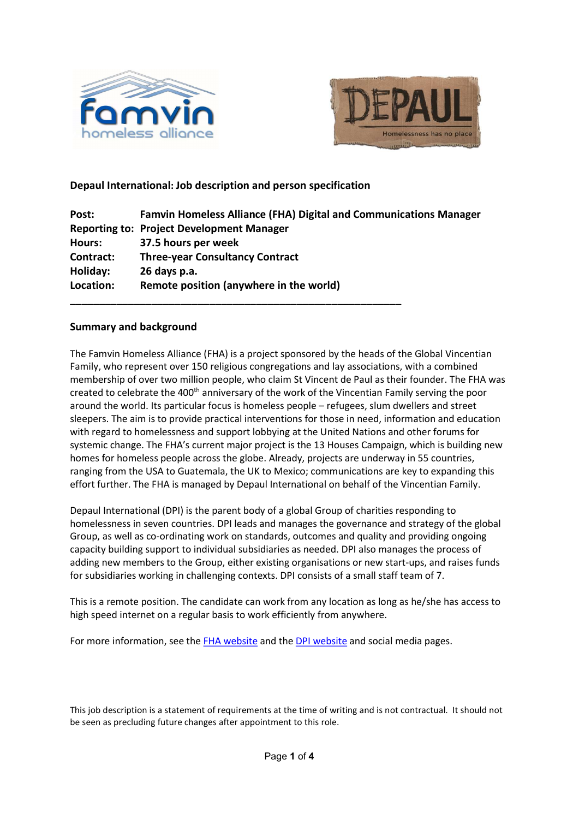



# Depaul International: Job description and person specification

\_\_\_\_\_\_\_\_\_\_\_\_\_\_\_\_\_\_\_\_\_\_\_\_\_\_\_\_\_\_\_\_\_\_\_\_\_\_\_\_\_\_\_\_\_\_\_\_\_\_\_\_\_\_\_\_\_

| Post:     | <b>Famvin Homeless Alliance (FHA) Digital and Communications Manager</b> |
|-----------|--------------------------------------------------------------------------|
|           | <b>Reporting to: Project Development Manager</b>                         |
| Hours:    | 37.5 hours per week                                                      |
| Contract: | <b>Three-year Consultancy Contract</b>                                   |
| Holiday:  | 26 days p.a.                                                             |
| Location: | Remote position (anywhere in the world)                                  |

## Summary and background

The Famvin Homeless Alliance (FHA) is a project sponsored by the heads of the Global Vincentian Family, who represent over 150 religious congregations and lay associations, with a combined membership of over two million people, who claim St Vincent de Paul as their founder. The FHA was created to celebrate the 400<sup>th</sup> anniversary of the work of the Vincentian Family serving the poor around the world. Its particular focus is homeless people – refugees, slum dwellers and street sleepers. The aim is to provide practical interventions for those in need, information and education with regard to homelessness and support lobbying at the United Nations and other forums for systemic change. The FHA's current major project is the 13 Houses Campaign, which is building new homes for homeless people across the globe. Already, projects are underway in 55 countries, ranging from the USA to Guatemala, the UK to Mexico; communications are key to expanding this effort further. The FHA is managed by Depaul International on behalf of the Vincentian Family.

Depaul International (DPI) is the parent body of a global Group of charities responding to homelessness in seven countries. DPI leads and manages the governance and strategy of the global Group, as well as co-ordinating work on standards, outcomes and quality and providing ongoing capacity building support to individual subsidiaries as needed. DPI also manages the process of adding new members to the Group, either existing organisations or new start-ups, and raises funds for subsidiaries working in challenging contexts. DPI consists of a small staff team of 7.

This is a remote position. The candidate can work from any location as long as he/she has access to high speed internet on a regular basis to work efficiently from anywhere.

For more information, see the FHA website and the DPI website and social media pages.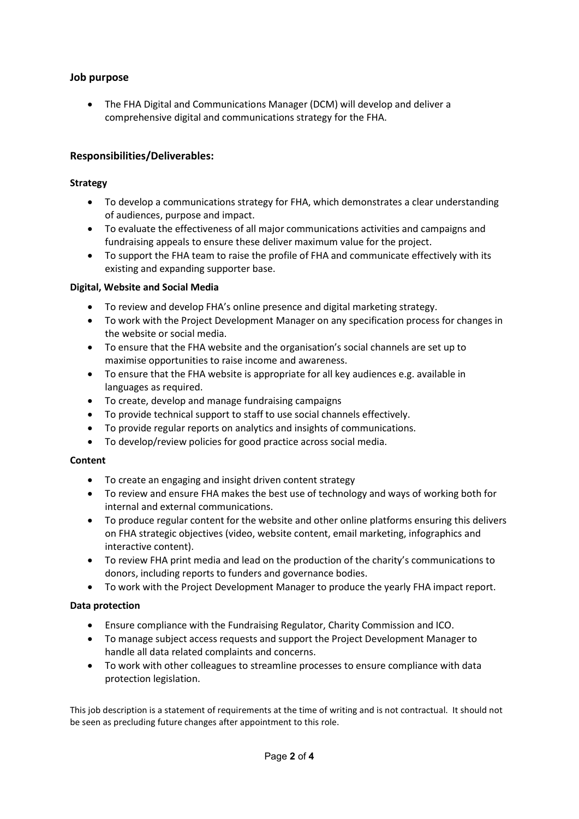# Job purpose

 The FHA Digital and Communications Manager (DCM) will develop and deliver a comprehensive digital and communications strategy for the FHA.

## Responsibilities/Deliverables:

### Strategy

- To develop a communications strategy for FHA, which demonstrates a clear understanding of audiences, purpose and impact.
- To evaluate the effectiveness of all major communications activities and campaigns and fundraising appeals to ensure these deliver maximum value for the project.
- To support the FHA team to raise the profile of FHA and communicate effectively with its existing and expanding supporter base.

### Digital, Website and Social Media

- To review and develop FHA's online presence and digital marketing strategy.
- To work with the Project Development Manager on any specification process for changes in the website or social media.
- To ensure that the FHA website and the organisation's social channels are set up to maximise opportunities to raise income and awareness.
- To ensure that the FHA website is appropriate for all key audiences e.g. available in languages as required.
- To create, develop and manage fundraising campaigns
- To provide technical support to staff to use social channels effectively.
- To provide regular reports on analytics and insights of communications.
- To develop/review policies for good practice across social media.

#### **Content**

- To create an engaging and insight driven content strategy
- To review and ensure FHA makes the best use of technology and ways of working both for internal and external communications.
- To produce regular content for the website and other online platforms ensuring this delivers on FHA strategic objectives (video, website content, email marketing, infographics and interactive content).
- To review FHA print media and lead on the production of the charity's communications to donors, including reports to funders and governance bodies.
- To work with the Project Development Manager to produce the yearly FHA impact report.

#### Data protection

- Ensure compliance with the Fundraising Regulator, Charity Commission and ICO.
- To manage subject access requests and support the Project Development Manager to handle all data related complaints and concerns.
- To work with other colleagues to streamline processes to ensure compliance with data protection legislation.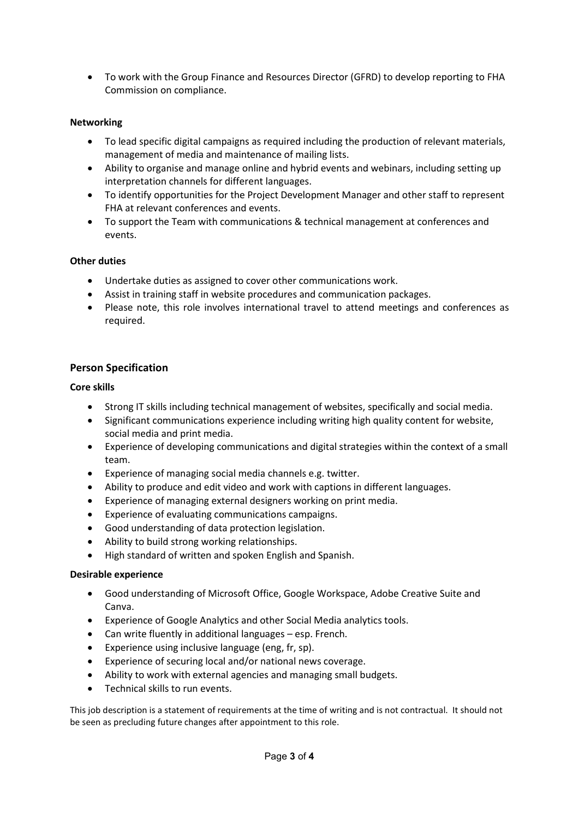To work with the Group Finance and Resources Director (GFRD) to develop reporting to FHA Commission on compliance.

## Networking

- To lead specific digital campaigns as required including the production of relevant materials, management of media and maintenance of mailing lists.
- Ability to organise and manage online and hybrid events and webinars, including setting up interpretation channels for different languages.
- To identify opportunities for the Project Development Manager and other staff to represent FHA at relevant conferences and events.
- To support the Team with communications & technical management at conferences and events.

## Other duties

- Undertake duties as assigned to cover other communications work.
- Assist in training staff in website procedures and communication packages.
- Please note, this role involves international travel to attend meetings and conferences as required.

# Person Specification

### Core skills

- Strong IT skills including technical management of websites, specifically and social media.
- Significant communications experience including writing high quality content for website, social media and print media.
- Experience of developing communications and digital strategies within the context of a small team.
- Experience of managing social media channels e.g. twitter.
- Ability to produce and edit video and work with captions in different languages.
- Experience of managing external designers working on print media.
- Experience of evaluating communications campaigns.
- Good understanding of data protection legislation.
- Ability to build strong working relationships.
- High standard of written and spoken English and Spanish.

#### Desirable experience

- Good understanding of Microsoft Office, Google Workspace, Adobe Creative Suite and Canva.
- Experience of Google Analytics and other Social Media analytics tools.
- Can write fluently in additional languages esp. French.
- Experience using inclusive language (eng, fr, sp).
- Experience of securing local and/or national news coverage.
- Ability to work with external agencies and managing small budgets.
- Technical skills to run events.